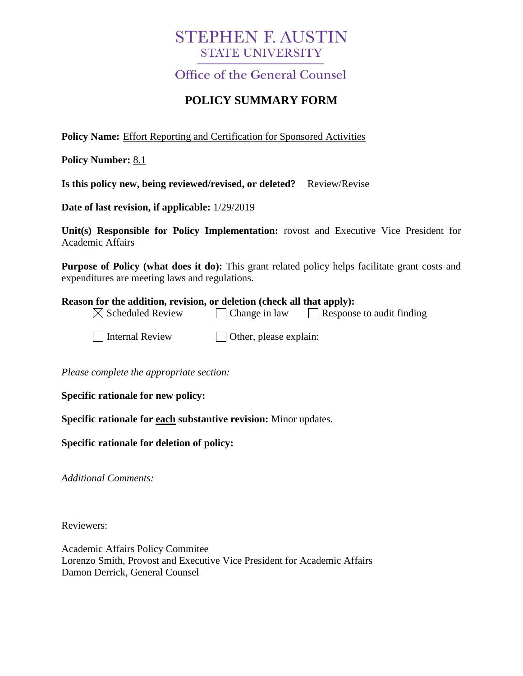## **STEPHEN F. AUSTIN STATE UNIVERSITY**

**Office of the General Counsel** 

## **POLICY SUMMARY FORM**

**Policy Name:** Effort Reporting and Certification for Sponsored Activities

**Policy Number:** 8.1

**Is this policy new, being reviewed/revised, or deleted?** Review/Revise

**Date of last revision, if applicable:** 1/29/2019

**Unit(s) Responsible for Policy Implementation:** rovost and Executive Vice President for Academic Affairs

**Purpose of Policy (what does it do):** This grant related policy helps facilitate grant costs and expenditures are meeting laws and regulations.

## **Reason for the addition, revision, or deletion (check all that apply):**

|  | $\boxtimes$ Scheduled Review | $\Box$ Change in law | $\Box$ Response to audit finding |
|--|------------------------------|----------------------|----------------------------------|
|--|------------------------------|----------------------|----------------------------------|

 $\Box$  Internal Review  $\Box$  Other, please explain:

*Please complete the appropriate section:*

**Specific rationale for new policy:**

**Specific rationale for each substantive revision:** Minor updates.

**Specific rationale for deletion of policy:**

*Additional Comments:*

Reviewers:

Academic Affairs Policy Commitee Lorenzo Smith, Provost and Executive Vice President for Academic Affairs Damon Derrick, General Counsel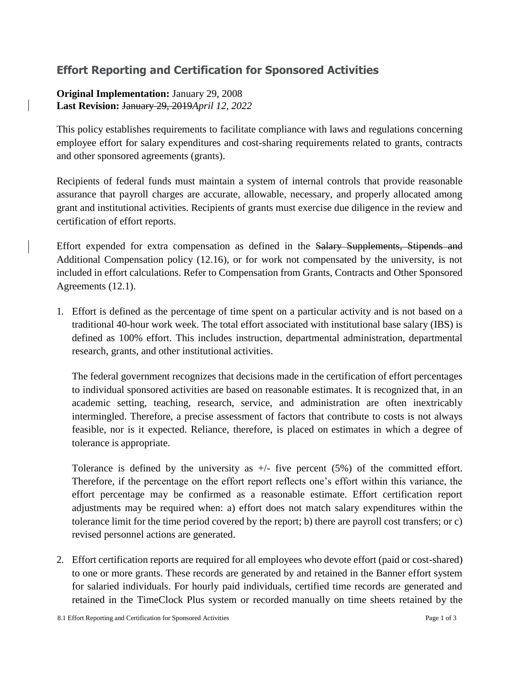## **Effort Reporting and Certification for Sponsored Activities**

**Original Implementation:** January 29, 2008 **Last Revision:** January 29, 2019*April 12, 2022*

This policy establishes requirements to facilitate compliance with laws and regulations concerning employee effort for salary expenditures and cost-sharing requirements related to grants, contracts and other sponsored agreements (grants).

Recipients of federal funds must maintain a system of internal controls that provide reasonable assurance that payroll charges are accurate, allowable, necessary, and properly allocated among grant and institutional activities. Recipients of grants must exercise due diligence in the review and certification of effort reports.

Effort expended for extra compensation as defined in the Salary Supplements, Stipends and Additional Compensation policy (12.16), or for work not compensated by the university, is not included in effort calculations. Refer to Compensation from Grants, Contracts and Other Sponsored Agreements (12.1).

1. Effort is defined as the percentage of time spent on a particular activity and is not based on a traditional 40-hour work week. The total effort associated with institutional base salary (IBS) is defined as 100% effort. This includes instruction, departmental administration, departmental research, grants, and other institutional activities.

The federal government recognizes that decisions made in the certification of effort percentages to individual sponsored activities are based on reasonable estimates. It is recognized that, in an academic setting, teaching, research, service, and administration are often inextricably intermingled. Therefore, a precise assessment of factors that contribute to costs is not always feasible, nor is it expected. Reliance, therefore, is placed on estimates in which a degree of tolerance is appropriate.

Tolerance is defined by the university as  $+/-$  five percent (5%) of the committed effort. Therefore, if the percentage on the effort report reflects one's effort within this variance, the effort percentage may be confirmed as a reasonable estimate. Effort certification report adjustments may be required when: a) effort does not match salary expenditures within the tolerance limit for the time period covered by the report; b) there are payroll cost transfers; or c) revised personnel actions are generated.

2. Effort certification reports are required for all employees who devote effort (paid or cost-shared) to one or more grants. These records are generated by and retained in the Banner effort system for salaried individuals. For hourly paid individuals, certified time records are generated and retained in the TimeClock Plus system or recorded manually on time sheets retained by the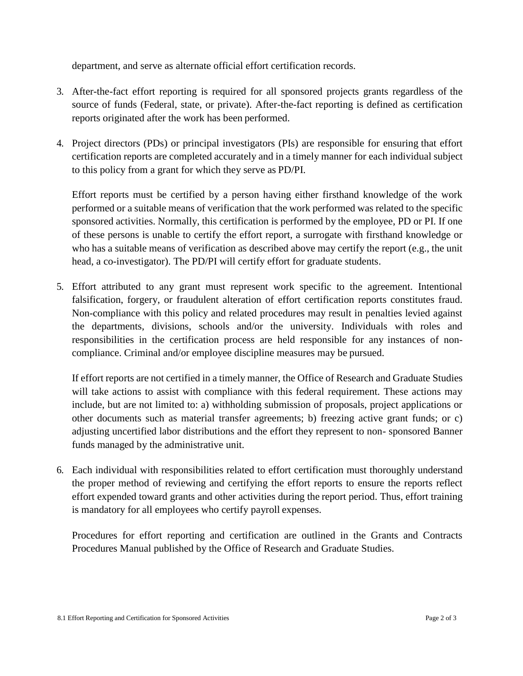department, and serve as alternate official effort certification records.

- 3. After-the-fact effort reporting is required for all sponsored projects grants regardless of the source of funds (Federal, state, or private). After-the-fact reporting is defined as certification reports originated after the work has been performed.
- 4. Project directors (PDs) or principal investigators (PIs) are responsible for ensuring that effort certification reports are completed accurately and in a timely manner for each individual subject to this policy from a grant for which they serve as PD/PI.

Effort reports must be certified by a person having either firsthand knowledge of the work performed or a suitable means of verification that the work performed was related to the specific sponsored activities. Normally, this certification is performed by the employee, PD or PI. If one of these persons is unable to certify the effort report, a surrogate with firsthand knowledge or who has a suitable means of verification as described above may certify the report (e.g., the unit head, a co-investigator). The PD/PI will certify effort for graduate students.

5. Effort attributed to any grant must represent work specific to the agreement. Intentional falsification, forgery, or fraudulent alteration of effort certification reports constitutes fraud. Non-compliance with this policy and related procedures may result in penalties levied against the departments, divisions, schools and/or the university. Individuals with roles and responsibilities in the certification process are held responsible for any instances of noncompliance. Criminal and/or employee discipline measures may be pursued.

If effort reports are not certified in a timely manner, the Office of Research and Graduate Studies will take actions to assist with compliance with this federal requirement. These actions may include, but are not limited to: a) withholding submission of proposals, project applications or other documents such as material transfer agreements; b) freezing active grant funds; or c) adjusting uncertified labor distributions and the effort they represent to non- sponsored Banner funds managed by the administrative unit.

6. Each individual with responsibilities related to effort certification must thoroughly understand the proper method of reviewing and certifying the effort reports to ensure the reports reflect effort expended toward grants and other activities during the report period. Thus, effort training is mandatory for all employees who certify payroll expenses.

Procedures for effort reporting and certification are outlined in the Grants and Contracts Procedures Manual published by the Office of Research and Graduate Studies.